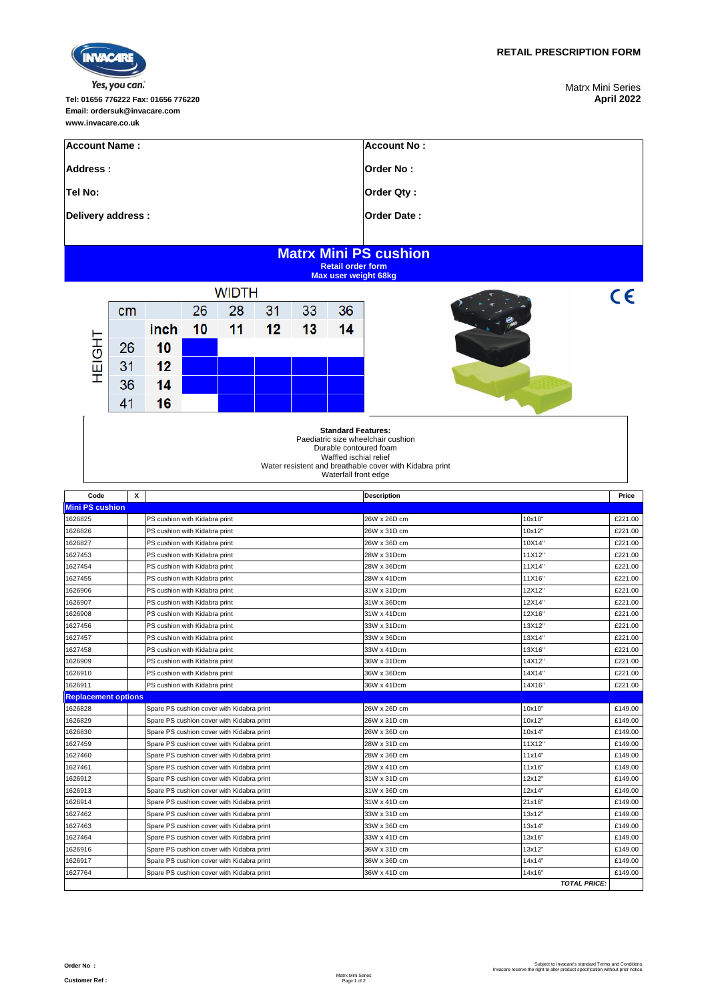

## Yes, you can.

**Tel: 01656 776222 Fax: 01656 776220 April 2022 Email: ordersuk@invacare.com www.invacare.co.uk**

Matrx Mini Series<br>**April 2022** 

| <b>Account Name:</b>                                                                                                                                                                                   |                                                          |                                                                                        |    |                                           |    |    |    | Account No:                  |                     |                    |  |  |  |
|--------------------------------------------------------------------------------------------------------------------------------------------------------------------------------------------------------|----------------------------------------------------------|----------------------------------------------------------------------------------------|----|-------------------------------------------|----|----|----|------------------------------|---------------------|--------------------|--|--|--|
| Address:                                                                                                                                                                                               |                                                          |                                                                                        |    |                                           |    |    |    | Order No:                    |                     |                    |  |  |  |
| Tel No:                                                                                                                                                                                                |                                                          |                                                                                        |    |                                           |    |    |    | Order Qty:                   |                     |                    |  |  |  |
|                                                                                                                                                                                                        |                                                          |                                                                                        |    |                                           |    |    |    |                              |                     |                    |  |  |  |
| Delivery address :                                                                                                                                                                                     |                                                          |                                                                                        |    |                                           |    |    |    | Order Date:                  |                     |                    |  |  |  |
|                                                                                                                                                                                                        |                                                          |                                                                                        |    |                                           |    |    |    |                              |                     |                    |  |  |  |
|                                                                                                                                                                                                        | <b>Matrx Mini PS cushion</b><br><b>Retail order form</b> |                                                                                        |    |                                           |    |    |    |                              |                     |                    |  |  |  |
| <b>Max user weight 68kg</b>                                                                                                                                                                            |                                                          |                                                                                        |    |                                           |    |    |    |                              |                     |                    |  |  |  |
|                                                                                                                                                                                                        |                                                          |                                                                                        |    | <b>WIDTH</b>                              |    |    |    |                              |                     | $\epsilon$         |  |  |  |
|                                                                                                                                                                                                        | cm                                                       |                                                                                        | 26 | 28                                        |    | 33 | 36 |                              |                     |                    |  |  |  |
|                                                                                                                                                                                                        |                                                          | inch                                                                                   | 10 | 11                                        | 12 | 13 | 14 |                              |                     |                    |  |  |  |
| <b>HEIGHT</b>                                                                                                                                                                                          | 26                                                       | 10                                                                                     |    |                                           |    |    |    |                              |                     |                    |  |  |  |
|                                                                                                                                                                                                        | 31                                                       | 12                                                                                     |    |                                           |    |    |    |                              |                     |                    |  |  |  |
|                                                                                                                                                                                                        |                                                          |                                                                                        |    |                                           |    |    |    |                              |                     |                    |  |  |  |
|                                                                                                                                                                                                        | 36                                                       | 14                                                                                     |    |                                           |    |    |    |                              |                     |                    |  |  |  |
|                                                                                                                                                                                                        | 41                                                       | 16                                                                                     |    |                                           |    |    |    |                              |                     |                    |  |  |  |
| <b>Standard Features:</b><br>Paediatric size wheelchair cushion<br>Durable contoured foam<br>Waffled ischial relief<br>Water resistent and breathable cover with Kidabra print<br>Waterfall front edge |                                                          |                                                                                        |    |                                           |    |    |    |                              |                     |                    |  |  |  |
| Code                                                                                                                                                                                                   | x                                                        |                                                                                        |    |                                           |    |    |    | <b>Description</b>           |                     | Price              |  |  |  |
| <b>Mini PS cushion</b><br>1626825                                                                                                                                                                      |                                                          | PS cushion with Kidabra print                                                          |    |                                           |    |    |    | 26W x 26D cm                 | 10x10"              | £221.00            |  |  |  |
| 1626826                                                                                                                                                                                                |                                                          | PS cushion with Kidabra print                                                          |    |                                           |    |    |    | 26W x 31D cm                 | 10x12"              | £221.00            |  |  |  |
| 1626827                                                                                                                                                                                                |                                                          | PS cushion with Kidabra print                                                          |    |                                           |    |    |    | 26W x 36D cm                 | 10X14"              | £221.00            |  |  |  |
| 1627453<br>1627454                                                                                                                                                                                     |                                                          | PS cushion with Kidabra print<br>PS cushion with Kidabra print                         |    |                                           |    |    |    | 28W x 31Dcm<br>28W x 36Dcm   | 11X12"<br>11X14"    | £221.00<br>£221.00 |  |  |  |
| 1627455                                                                                                                                                                                                |                                                          | PS cushion with Kidabra print                                                          |    |                                           |    |    |    | 28W x 41Dcm                  | 11X16"              | £221.00            |  |  |  |
| 1626906                                                                                                                                                                                                |                                                          | PS cushion with Kidabra print                                                          |    |                                           |    |    |    | 31W x 31Dcm                  | 12X12"              | £221.00            |  |  |  |
| 1626907                                                                                                                                                                                                |                                                          | PS cushion with Kidabra print                                                          |    |                                           |    |    |    | 31W x 36Dcm                  | 12X14"              | £221.00            |  |  |  |
| 1626908                                                                                                                                                                                                |                                                          | PS cushion with Kidabra print                                                          |    |                                           |    |    |    | 31W x 41Dcm                  | 12X16"              | £221.00            |  |  |  |
| 1627456<br>1627457                                                                                                                                                                                     |                                                          | PS cushion with Kidabra print<br>PS cushion with Kidabra print                         |    |                                           |    |    |    | 33W x 31Dcm<br>33W x 36Dcm   | 13X12"<br>13X14"    | £221.00<br>£221.00 |  |  |  |
| 1627458                                                                                                                                                                                                |                                                          | PS cushion with Kidabra print                                                          |    |                                           |    |    |    | 33W x 41Dcm                  | 13X16"              | £221.00            |  |  |  |
| 1626909                                                                                                                                                                                                |                                                          | PS cushion with Kidabra print                                                          |    |                                           |    |    |    | 36W x 31Dcm                  | 14X12"              | £221.00            |  |  |  |
| 1626910                                                                                                                                                                                                |                                                          | PS cushion with Kidabra print                                                          |    |                                           |    |    |    | 36W x 36Dcm                  | 14X14"              | £221.00            |  |  |  |
| 1626911                                                                                                                                                                                                |                                                          | PS cushion with Kidabra print                                                          |    |                                           |    |    |    | 36W x 41Dcm                  | 14X16"              | £221.00            |  |  |  |
| <b>Replacement options</b><br>1626828                                                                                                                                                                  |                                                          |                                                                                        |    |                                           |    |    |    | 26W x 26D cm                 | 10x10"              | £149.00            |  |  |  |
| 1626829                                                                                                                                                                                                |                                                          | Spare PS cushion cover with Kidabra print<br>Spare PS cushion cover with Kidabra print |    |                                           |    |    |    | 26W x 31D cm                 | 10x12"              | £149.00            |  |  |  |
| 1626830                                                                                                                                                                                                |                                                          | Spare PS cushion cover with Kidabra print                                              |    |                                           |    |    |    | 26W x 36D cm                 | 10x14"              | £149.00            |  |  |  |
| 1627459                                                                                                                                                                                                |                                                          | Spare PS cushion cover with Kidabra print                                              |    |                                           |    |    |    | 28W x 31D cm                 | 11X12"              | £149.00            |  |  |  |
| 1627460                                                                                                                                                                                                |                                                          | Spare PS cushion cover with Kidabra print                                              |    |                                           |    |    |    | 28W x 36D cm                 | 11x14"              | £149.00            |  |  |  |
| 1627461                                                                                                                                                                                                |                                                          | Spare PS cushion cover with Kidabra print                                              |    |                                           |    |    |    | 28W x 41D cm                 | 11x16"              | £149.00            |  |  |  |
| 1626912                                                                                                                                                                                                |                                                          | Spare PS cushion cover with Kidabra print                                              |    |                                           |    |    |    | 31W x 31D cm                 | 12x12"              | £149.00            |  |  |  |
| 1626913<br>1626914                                                                                                                                                                                     |                                                          | Spare PS cushion cover with Kidabra print<br>Spare PS cushion cover with Kidabra print |    |                                           |    |    |    | 31W x 36D cm                 | 12x14"              | £149.00<br>£149.00 |  |  |  |
| 1627462                                                                                                                                                                                                |                                                          |                                                                                        |    | Spare PS cushion cover with Kidabra print |    |    |    | 31W x 41D cm<br>33W x 31D cm | 21x16"<br>13x12"    | £149.00            |  |  |  |
| 1627463                                                                                                                                                                                                |                                                          |                                                                                        |    | Spare PS cushion cover with Kidabra print |    |    |    | 33W x 36D cm                 | 13x14"              | £149.00            |  |  |  |
| 1627464                                                                                                                                                                                                |                                                          | Spare PS cushion cover with Kidabra print                                              |    |                                           |    |    |    | 33W x 41D cm                 | 13x16"              | £149.00            |  |  |  |
| 1626916                                                                                                                                                                                                |                                                          | Spare PS cushion cover with Kidabra print                                              |    |                                           |    |    |    | 36W x 31D cm                 | 13x12"              | £149.00            |  |  |  |
| 1626917                                                                                                                                                                                                |                                                          | Spare PS cushion cover with Kidabra print                                              |    |                                           |    |    |    | 36W x 36D cm                 | 14x14"              | £149.00            |  |  |  |
| 1627764                                                                                                                                                                                                |                                                          |                                                                                        |    | Spare PS cushion cover with Kidabra print |    |    |    | 36W x 41D cm                 | 14x16"              | £149.00            |  |  |  |
|                                                                                                                                                                                                        |                                                          |                                                                                        |    |                                           |    |    |    |                              | <b>TOTAL PRICE:</b> |                    |  |  |  |